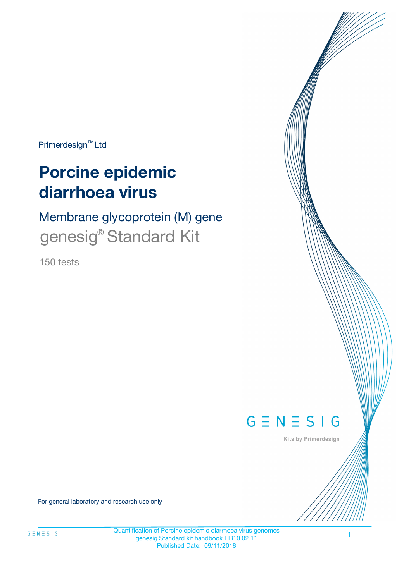Primerdesign<sup>™</sup>Ltd

# **Porcine epidemic diarrhoea virus**

Membrane glycoprotein (M) gene genesig<sup>®</sup> Standard Kit

150 tests



Kits by Primerdesign

For general laboratory and research use only

Quantification of Porcine epidemic diarrhoea virus genomes genesig Standard kit handbook HB10.02.11 Published Date: 09/11/2018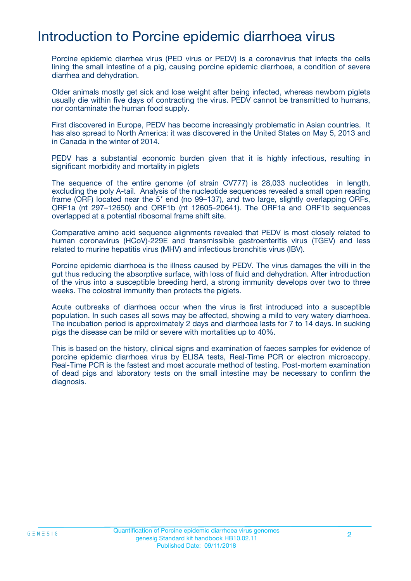# Introduction to Porcine epidemic diarrhoea virus

Porcine epidemic diarrhea virus (PED virus or PEDV) is a coronavirus that infects the cells lining the small intestine of a pig, causing porcine epidemic diarrhoea, a condition of severe diarrhea and dehydration.

Older animals mostly get sick and lose weight after being infected, whereas newborn piglets usually die within five days of contracting the virus. PEDV cannot be transmitted to humans, nor contaminate the human food supply.

First discovered in Europe, PEDV has become increasingly problematic in Asian countries. It has also spread to North America: it was discovered in the United States on May 5, 2013 and in Canada in the winter of 2014.

PEDV has a substantial economic burden given that it is highly infectious, resulting in significant morbidity and mortality in piglets

The sequence of the entire genome (of strain CV777) is 28,033 nucleotides in length, excluding the poly A-tail. Analysis of the nucleotide sequences revealed a small open reading frame (ORF) located near the 5′ end (no 99–137), and two large, slightly overlapping ORFs, ORF1a (nt 297–12650) and ORF1b (nt 12605–20641). The ORF1a and ORF1b sequences overlapped at a potential ribosomal frame shift site.

Comparative amino acid sequence alignments revealed that PEDV is most closely related to human coronavirus (HCoV)-229E and transmissible gastroenteritis virus (TGEV) and less related to murine hepatitis virus (MHV) and infectious bronchitis virus (IBV).

Porcine epidemic diarrhoea is the illness caused by PEDV. The virus damages the villi in the gut thus reducing the absorptive surface, with loss of fluid and dehydration. After introduction of the virus into a susceptible breeding herd, a strong immunity develops over two to three weeks. The colostral immunity then protects the piglets.

Acute outbreaks of diarrhoea occur when the virus is first introduced into a susceptible population. In such cases all sows may be affected, showing a mild to very watery diarrhoea. The incubation period is approximately 2 days and diarrhoea lasts for 7 to 14 days. In sucking pigs the disease can be mild or severe with mortalities up to 40%.

This is based on the history, clinical signs and examination of faeces samples for evidence of porcine epidemic diarrhoea virus by ELISA tests, Real-Time PCR or electron microscopy. Real-Time PCR is the fastest and most accurate method of testing. Post-mortem examination of dead pigs and laboratory tests on the small intestine may be necessary to confirm the diagnosis.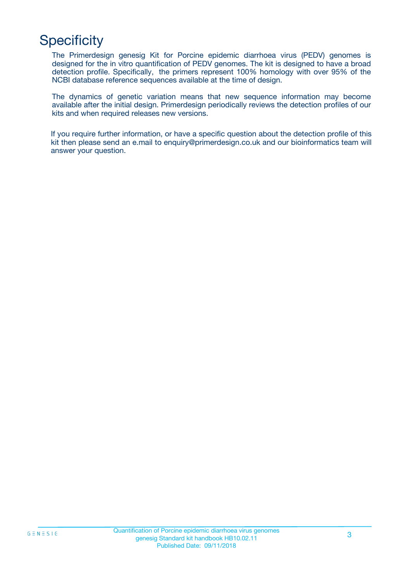# **Specificity**

The Primerdesign genesig Kit for Porcine epidemic diarrhoea virus (PEDV) genomes is designed for the in vitro quantification of PEDV genomes. The kit is designed to have a broad detection profile. Specifically, the primers represent 100% homology with over 95% of the NCBI database reference sequences available at the time of design.

The dynamics of genetic variation means that new sequence information may become available after the initial design. Primerdesign periodically reviews the detection profiles of our kits and when required releases new versions.

If you require further information, or have a specific question about the detection profile of this kit then please send an e.mail to enquiry@primerdesign.co.uk and our bioinformatics team will answer your question.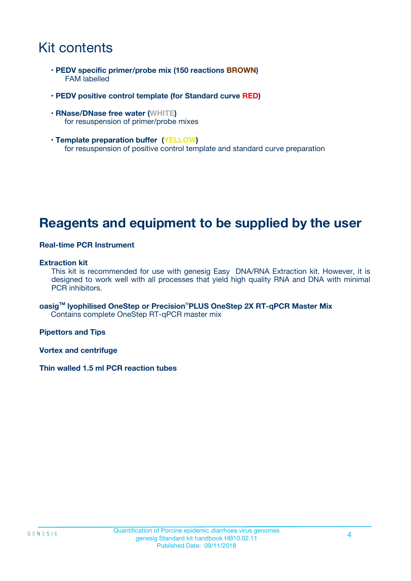# Kit contents

- **PEDV specific primer/probe mix (150 reactions BROWN)** FAM labelled
- **PEDV positive control template (for Standard curve RED)**
- **RNase/DNase free water (WHITE)** for resuspension of primer/probe mixes
- **Template preparation buffer (YELLOW)** for resuspension of positive control template and standard curve preparation

# **Reagents and equipment to be supplied by the user**

#### **Real-time PCR Instrument**

#### **Extraction kit**

This kit is recommended for use with genesig Easy DNA/RNA Extraction kit. However, it is designed to work well with all processes that yield high quality RNA and DNA with minimal PCR inhibitors.

**oasigTM lyophilised OneStep or Precision**®**PLUS OneStep 2X RT-qPCR Master Mix** Contains complete OneStep RT-qPCR master mix

**Pipettors and Tips**

**Vortex and centrifuge**

**Thin walled 1.5 ml PCR reaction tubes**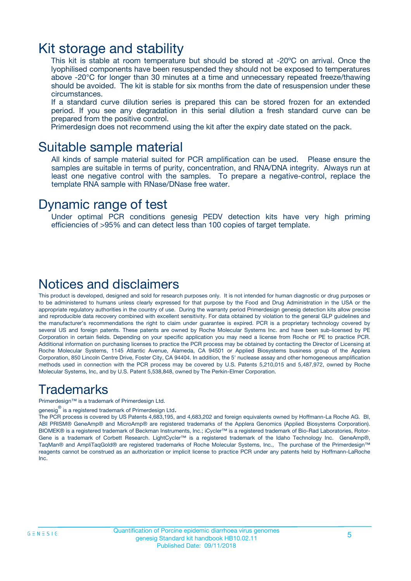### Kit storage and stability

This kit is stable at room temperature but should be stored at -20ºC on arrival. Once the lyophilised components have been resuspended they should not be exposed to temperatures above -20°C for longer than 30 minutes at a time and unnecessary repeated freeze/thawing should be avoided. The kit is stable for six months from the date of resuspension under these circumstances.

If a standard curve dilution series is prepared this can be stored frozen for an extended period. If you see any degradation in this serial dilution a fresh standard curve can be prepared from the positive control.

Primerdesign does not recommend using the kit after the expiry date stated on the pack.

### Suitable sample material

All kinds of sample material suited for PCR amplification can be used. Please ensure the samples are suitable in terms of purity, concentration, and RNA/DNA integrity. Always run at least one negative control with the samples. To prepare a negative-control, replace the template RNA sample with RNase/DNase free water.

### Dynamic range of test

Under optimal PCR conditions genesig PEDV detection kits have very high priming efficiencies of >95% and can detect less than 100 copies of target template.

### Notices and disclaimers

This product is developed, designed and sold for research purposes only. It is not intended for human diagnostic or drug purposes or to be administered to humans unless clearly expressed for that purpose by the Food and Drug Administration in the USA or the appropriate regulatory authorities in the country of use. During the warranty period Primerdesign genesig detection kits allow precise and reproducible data recovery combined with excellent sensitivity. For data obtained by violation to the general GLP guidelines and the manufacturer's recommendations the right to claim under guarantee is expired. PCR is a proprietary technology covered by several US and foreign patents. These patents are owned by Roche Molecular Systems Inc. and have been sub-licensed by PE Corporation in certain fields. Depending on your specific application you may need a license from Roche or PE to practice PCR. Additional information on purchasing licenses to practice the PCR process may be obtained by contacting the Director of Licensing at Roche Molecular Systems, 1145 Atlantic Avenue, Alameda, CA 94501 or Applied Biosystems business group of the Applera Corporation, 850 Lincoln Centre Drive, Foster City, CA 94404. In addition, the 5' nuclease assay and other homogeneous amplification methods used in connection with the PCR process may be covered by U.S. Patents 5,210,015 and 5,487,972, owned by Roche Molecular Systems, Inc, and by U.S. Patent 5,538,848, owned by The Perkin-Elmer Corporation.

### Trademarks

Primerdesign™ is a trademark of Primerdesign Ltd.

genesig $^\circledR$  is a registered trademark of Primerdesign Ltd.

The PCR process is covered by US Patents 4,683,195, and 4,683,202 and foreign equivalents owned by Hoffmann-La Roche AG. BI, ABI PRISM® GeneAmp® and MicroAmp® are registered trademarks of the Applera Genomics (Applied Biosystems Corporation). BIOMEK® is a registered trademark of Beckman Instruments, Inc.; iCycler™ is a registered trademark of Bio-Rad Laboratories, Rotor-Gene is a trademark of Corbett Research. LightCycler™ is a registered trademark of the Idaho Technology Inc. GeneAmp®, TaqMan® and AmpliTaqGold® are registered trademarks of Roche Molecular Systems, Inc., The purchase of the Primerdesign™ reagents cannot be construed as an authorization or implicit license to practice PCR under any patents held by Hoffmann-LaRoche Inc.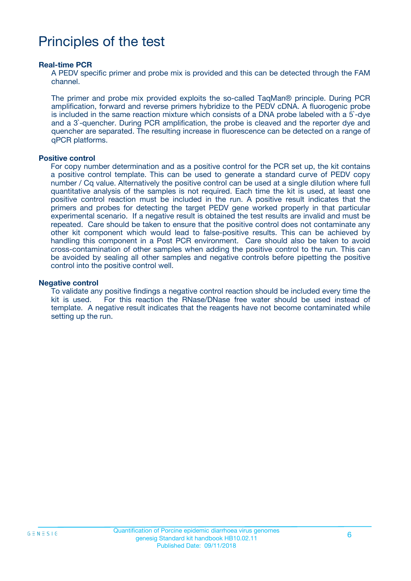# Principles of the test

#### **Real-time PCR**

A PEDV specific primer and probe mix is provided and this can be detected through the FAM channel.

The primer and probe mix provided exploits the so-called TaqMan® principle. During PCR amplification, forward and reverse primers hybridize to the PEDV cDNA. A fluorogenic probe is included in the same reaction mixture which consists of a DNA probe labeled with a 5`-dye and a 3`-quencher. During PCR amplification, the probe is cleaved and the reporter dye and quencher are separated. The resulting increase in fluorescence can be detected on a range of qPCR platforms.

#### **Positive control**

For copy number determination and as a positive control for the PCR set up, the kit contains a positive control template. This can be used to generate a standard curve of PEDV copy number / Cq value. Alternatively the positive control can be used at a single dilution where full quantitative analysis of the samples is not required. Each time the kit is used, at least one positive control reaction must be included in the run. A positive result indicates that the primers and probes for detecting the target PEDV gene worked properly in that particular experimental scenario. If a negative result is obtained the test results are invalid and must be repeated. Care should be taken to ensure that the positive control does not contaminate any other kit component which would lead to false-positive results. This can be achieved by handling this component in a Post PCR environment. Care should also be taken to avoid cross-contamination of other samples when adding the positive control to the run. This can be avoided by sealing all other samples and negative controls before pipetting the positive control into the positive control well.

#### **Negative control**

To validate any positive findings a negative control reaction should be included every time the kit is used. For this reaction the RNase/DNase free water should be used instead of template. A negative result indicates that the reagents have not become contaminated while setting up the run.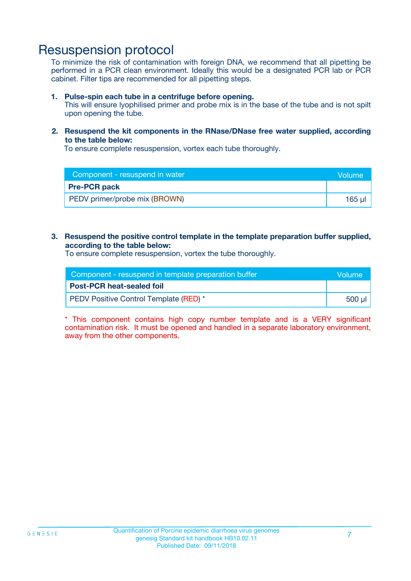### Resuspension protocol

To minimize the risk of contamination with foreign DNA, we recommend that all pipetting be performed in a PCR clean environment. Ideally this would be a designated PCR lab or PCR cabinet. Filter tips are recommended for all pipetting steps.

#### **1. Pulse-spin each tube in a centrifuge before opening.**

This will ensure lyophilised primer and probe mix is in the base of the tube and is not spilt upon opening the tube.

#### **2. Resuspend the kit components in the RNase/DNase free water supplied, according to the table below:**

To ensure complete resuspension, vortex each tube thoroughly.

| Component - resuspend in water | <b>Nolume</b> |
|--------------------------------|---------------|
| <b>Pre-PCR pack</b>            |               |
| PEDV primer/probe mix (BROWN)  | $165$ $\mu$   |

#### **3. Resuspend the positive control template in the template preparation buffer supplied, according to the table below:**

To ensure complete resuspension, vortex the tube thoroughly.

| Component - resuspend in template preparation buffer | <b>Nolume</b> |
|------------------------------------------------------|---------------|
| <b>Post-PCR heat-sealed foil</b>                     |               |
| PEDV Positive Control Template (RED) *               | .500 ul       |

\* This component contains high copy number template and is a VERY significant contamination risk. It must be opened and handled in a separate laboratory environment, away from the other components.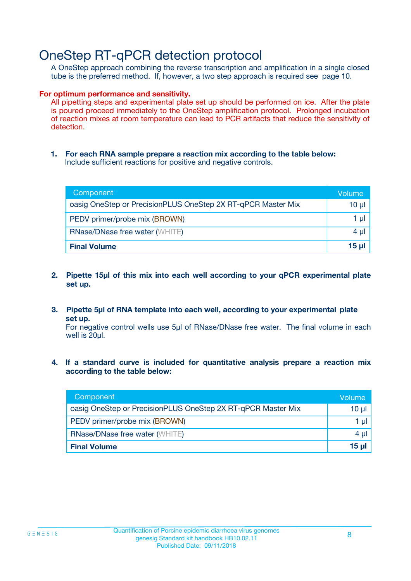# OneStep RT-qPCR detection protocol

A OneStep approach combining the reverse transcription and amplification in a single closed tube is the preferred method. If, however, a two step approach is required see page 10.

#### **For optimum performance and sensitivity.**

All pipetting steps and experimental plate set up should be performed on ice. After the plate is poured proceed immediately to the OneStep amplification protocol. Prolonged incubation of reaction mixes at room temperature can lead to PCR artifacts that reduce the sensitivity of detection.

**1. For each RNA sample prepare a reaction mix according to the table below:** Include sufficient reactions for positive and negative controls.

| Component                                                    | Volume   |
|--------------------------------------------------------------|----------|
| oasig OneStep or PrecisionPLUS OneStep 2X RT-qPCR Master Mix | $10 \mu$ |
| PEDV primer/probe mix (BROWN)                                | 1 µl     |
| <b>RNase/DNase free water (WHITE)</b>                        | $4 \mu$  |
| <b>Final Volume</b>                                          | $15$ µ   |

- **2. Pipette 15µl of this mix into each well according to your qPCR experimental plate set up.**
- **3. Pipette 5µl of RNA template into each well, according to your experimental plate set up.**

For negative control wells use 5µl of RNase/DNase free water. The final volume in each well is 20ul.

**4. If a standard curve is included for quantitative analysis prepare a reaction mix according to the table below:**

| Component                                                    | Volume |
|--------------------------------------------------------------|--------|
| oasig OneStep or PrecisionPLUS OneStep 2X RT-qPCR Master Mix | 10 µl  |
| PEDV primer/probe mix (BROWN)                                | 1 µl   |
| <b>RNase/DNase free water (WHITE)</b>                        | 4 µl   |
| <b>Final Volume</b>                                          | 15 ul  |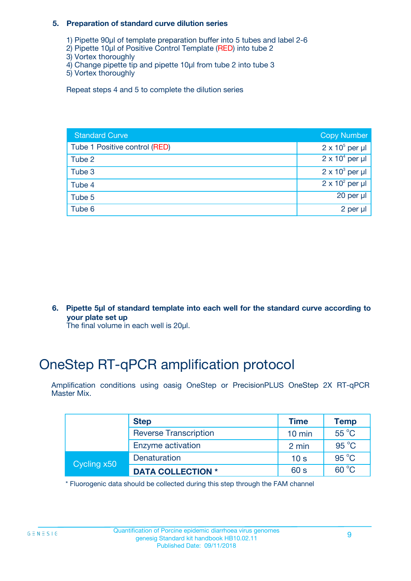#### **5. Preparation of standard curve dilution series**

- 1) Pipette 90µl of template preparation buffer into 5 tubes and label 2-6
- 2) Pipette 10µl of Positive Control Template (RED) into tube 2
- 3) Vortex thoroughly
- 4) Change pipette tip and pipette 10µl from tube 2 into tube 3
- 5) Vortex thoroughly

Repeat steps 4 and 5 to complete the dilution series

| <b>Standard Curve</b>         | <b>Copy Number</b>     |
|-------------------------------|------------------------|
| Tube 1 Positive control (RED) | $2 \times 10^5$ per µl |
| Tube 2                        | $2 \times 10^4$ per µl |
| Tube 3                        | $2 \times 10^3$ per µl |
| Tube 4                        | $2 \times 10^2$ per µl |
| Tube 5                        | 20 per $\mu$           |
| Tube 6                        | 2 per µl               |

**6. Pipette 5µl of standard template into each well for the standard curve according to your plate set up**

The final volume in each well is 20ul.

# OneStep RT-qPCR amplification protocol

Amplification conditions using oasig OneStep or PrecisionPLUS OneStep 2X RT-qPCR Master Mix.

|             | <b>Step</b>                  | <b>Time</b>      | <b>Temp</b>    |
|-------------|------------------------------|------------------|----------------|
|             | <b>Reverse Transcription</b> | $10 \text{ min}$ | 55 °C          |
|             | Enzyme activation            | 2 min            | $95^{\circ}$ C |
| Cycling x50 | Denaturation                 | 10 <sub>s</sub>  | $95^{\circ}$ C |
|             | <b>DATA COLLECTION *</b>     | 60 s             | $60^{\circ}$ C |

\* Fluorogenic data should be collected during this step through the FAM channel